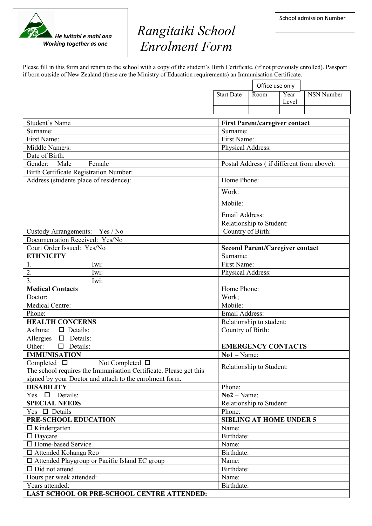## *Rangitaiki School Enrolment Form*

Please fill in this form and return to the school with a copy of the student's Birth Certificate, (if not previously enrolled). Passport if born outside of New Zealand (these are the Ministry of Education requirements) an Immunisation Certificate.

|                                                                               |                                           | Office use only                        |               |            |
|-------------------------------------------------------------------------------|-------------------------------------------|----------------------------------------|---------------|------------|
|                                                                               | <b>Start Date</b>                         | Room                                   | Year<br>Level | NSN Number |
|                                                                               |                                           |                                        |               |            |
| Student's Name                                                                |                                           |                                        |               |            |
| Surname:                                                                      | Surname:                                  | <b>First Parent/caregiver contact</b>  |               |            |
| First Name:                                                                   | First Name:                               |                                        |               |            |
| Middle Name/s:                                                                | Physical Address:                         |                                        |               |            |
| Date of Birth:                                                                |                                           |                                        |               |            |
| Female<br>Gender:<br>Male                                                     | Postal Address (if different from above): |                                        |               |            |
| <b>Birth Certificate Registration Number:</b>                                 |                                           |                                        |               |            |
| Address (students place of residence):                                        | Home Phone:                               |                                        |               |            |
|                                                                               |                                           |                                        |               |            |
|                                                                               | Work:<br>Mobile:                          |                                        |               |            |
|                                                                               |                                           |                                        |               |            |
|                                                                               |                                           | Email Address:                         |               |            |
|                                                                               |                                           | Relationship to Student:               |               |            |
| Custody Arrangements: Yes / No                                                | Country of Birth:                         |                                        |               |            |
| Documentation Received: Yes/No                                                |                                           |                                        |               |            |
| Court Order Issued: Yes/No                                                    |                                           | <b>Second Parent/Caregiver contact</b> |               |            |
| <b>ETHNICITY</b>                                                              | Surname:                                  |                                        |               |            |
| 1.<br>Iwi:                                                                    | First Name:                               |                                        |               |            |
| Iwi:<br>2.                                                                    | Physical Address:                         |                                        |               |            |
| $\overline{3}$ .<br>Iwi:                                                      |                                           |                                        |               |            |
| <b>Medical Contacts</b>                                                       | Home Phone:                               |                                        |               |            |
| Doctor:                                                                       | Work;                                     |                                        |               |            |
| Medical Centre:                                                               | Mobile:                                   |                                        |               |            |
| Phone:                                                                        | Email Address:                            |                                        |               |            |
| <b>HEALTH CONCERNS</b>                                                        | Relationship to student:                  |                                        |               |            |
| $\Box$ Details:<br>Asthma:                                                    | Country of Birth:                         |                                        |               |            |
| $\Box$ Details:<br>Allergies                                                  |                                           |                                        |               |            |
| $\Box$ Details:<br>Other:                                                     |                                           | <b>EMERGENCY CONTACTS</b>              |               |            |
| <b>IMMUNISATION</b>                                                           | $No1 - Name$ :                            |                                        |               |            |
| Completed $\square$<br>Not Completed $\,\Box$                                 |                                           | Relationship to Student:               |               |            |
| The school requires the Immunisation Certificate. Please get this             |                                           |                                        |               |            |
| signed by your Doctor and attach to the enrolment form.                       |                                           |                                        |               |            |
| <b>DISABILITY</b>                                                             | Phone:                                    |                                        |               |            |
| Yes $\square$ Details:                                                        | $No2 - Name:$                             |                                        |               |            |
| <b>SPECIAL NEEDS</b><br>Yes $\Box$ Details                                    |                                           | Relationship to Student:               |               |            |
| PRE-SCHOOL EDUCATION                                                          | Phone:                                    |                                        |               |            |
| $\Box$ Kindergarten                                                           | Name:                                     | <b>SIBLING AT HOME UNDER 5</b>         |               |            |
| $\square$ Daycare                                                             | Birthdate:                                |                                        |               |            |
| □ Home-based Service                                                          | Name:                                     |                                        |               |            |
|                                                                               | Birthdate:                                |                                        |               |            |
| □ Attended Kohanga Reo                                                        |                                           |                                        |               |            |
| $\Box$ Attended Playgroup or Pacific Island EC group<br>$\Box$ Did not attend | Name:<br>Birthdate:                       |                                        |               |            |
|                                                                               | Name:                                     |                                        |               |            |
| Hours per week attended:<br>Years attended:                                   | Birthdate:                                |                                        |               |            |
|                                                                               |                                           |                                        |               |            |
| LAST SCHOOL OR PRE-SCHOOL CENTRE ATTENDED:                                    |                                           |                                        |               |            |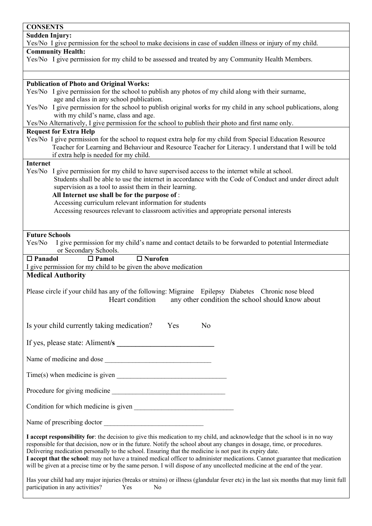| <b>CONSENTS</b>                                                                                                                                                                                                                                                                                                                                                                                                                                                                                                                                                                                                                 |  |  |  |  |  |
|---------------------------------------------------------------------------------------------------------------------------------------------------------------------------------------------------------------------------------------------------------------------------------------------------------------------------------------------------------------------------------------------------------------------------------------------------------------------------------------------------------------------------------------------------------------------------------------------------------------------------------|--|--|--|--|--|
| <b>Sudden Injury:</b>                                                                                                                                                                                                                                                                                                                                                                                                                                                                                                                                                                                                           |  |  |  |  |  |
| Yes/No I give permission for the school to make decisions in case of sudden illness or injury of my child.                                                                                                                                                                                                                                                                                                                                                                                                                                                                                                                      |  |  |  |  |  |
| <b>Community Health:</b><br>Yes/No I give permission for my child to be assessed and treated by any Community Health Members.                                                                                                                                                                                                                                                                                                                                                                                                                                                                                                   |  |  |  |  |  |
|                                                                                                                                                                                                                                                                                                                                                                                                                                                                                                                                                                                                                                 |  |  |  |  |  |
|                                                                                                                                                                                                                                                                                                                                                                                                                                                                                                                                                                                                                                 |  |  |  |  |  |
| <b>Publication of Photo and Original Works:</b>                                                                                                                                                                                                                                                                                                                                                                                                                                                                                                                                                                                 |  |  |  |  |  |
| Yes/No I give permission for the school to publish any photos of my child along with their surname,<br>age and class in any school publication.                                                                                                                                                                                                                                                                                                                                                                                                                                                                                 |  |  |  |  |  |
| Yes/No I give permission for the school to publish original works for my child in any school publications, along                                                                                                                                                                                                                                                                                                                                                                                                                                                                                                                |  |  |  |  |  |
| with my child's name, class and age.                                                                                                                                                                                                                                                                                                                                                                                                                                                                                                                                                                                            |  |  |  |  |  |
| Yes/No Alternatively, I give permission for the school to publish their photo and first name only.                                                                                                                                                                                                                                                                                                                                                                                                                                                                                                                              |  |  |  |  |  |
| <b>Request for Extra Help</b>                                                                                                                                                                                                                                                                                                                                                                                                                                                                                                                                                                                                   |  |  |  |  |  |
| Yes/No I give permission for the school to request extra help for my child from Special Education Resource<br>Teacher for Learning and Behaviour and Resource Teacher for Literacy. I understand that I will be told                                                                                                                                                                                                                                                                                                                                                                                                            |  |  |  |  |  |
| if extra help is needed for my child.                                                                                                                                                                                                                                                                                                                                                                                                                                                                                                                                                                                           |  |  |  |  |  |
| <b>Internet</b>                                                                                                                                                                                                                                                                                                                                                                                                                                                                                                                                                                                                                 |  |  |  |  |  |
| Yes/No I give permission for my child to have supervised access to the internet while at school.                                                                                                                                                                                                                                                                                                                                                                                                                                                                                                                                |  |  |  |  |  |
| Students shall be able to use the internet in accordance with the Code of Conduct and under direct adult<br>supervision as a tool to assist them in their learning.                                                                                                                                                                                                                                                                                                                                                                                                                                                             |  |  |  |  |  |
| All Internet use shall be for the purpose of:                                                                                                                                                                                                                                                                                                                                                                                                                                                                                                                                                                                   |  |  |  |  |  |
| Accessing curriculum relevant information for students                                                                                                                                                                                                                                                                                                                                                                                                                                                                                                                                                                          |  |  |  |  |  |
| Accessing resources relevant to classroom activities and appropriate personal interests                                                                                                                                                                                                                                                                                                                                                                                                                                                                                                                                         |  |  |  |  |  |
|                                                                                                                                                                                                                                                                                                                                                                                                                                                                                                                                                                                                                                 |  |  |  |  |  |
| <b>Future Schools</b>                                                                                                                                                                                                                                                                                                                                                                                                                                                                                                                                                                                                           |  |  |  |  |  |
| Yes/No<br>I give permission for my child's name and contact details to be forwarded to potential Intermediate                                                                                                                                                                                                                                                                                                                                                                                                                                                                                                                   |  |  |  |  |  |
| or Secondary Schools.                                                                                                                                                                                                                                                                                                                                                                                                                                                                                                                                                                                                           |  |  |  |  |  |
| $\Box$ Nurofen<br>$\Box$ Panadol<br>$\Box$ Pamol                                                                                                                                                                                                                                                                                                                                                                                                                                                                                                                                                                                |  |  |  |  |  |
| I give permission for my child to be given the above medication                                                                                                                                                                                                                                                                                                                                                                                                                                                                                                                                                                 |  |  |  |  |  |
| <b>Medical Authority</b>                                                                                                                                                                                                                                                                                                                                                                                                                                                                                                                                                                                                        |  |  |  |  |  |
| Please circle if your child has any of the following: Migraine Epilepsy Diabetes Chronic nose bleed                                                                                                                                                                                                                                                                                                                                                                                                                                                                                                                             |  |  |  |  |  |
| any other condition the school should know about<br>Heart condition                                                                                                                                                                                                                                                                                                                                                                                                                                                                                                                                                             |  |  |  |  |  |
|                                                                                                                                                                                                                                                                                                                                                                                                                                                                                                                                                                                                                                 |  |  |  |  |  |
|                                                                                                                                                                                                                                                                                                                                                                                                                                                                                                                                                                                                                                 |  |  |  |  |  |
| Is your child currently taking medication?<br>Yes<br>N <sub>o</sub>                                                                                                                                                                                                                                                                                                                                                                                                                                                                                                                                                             |  |  |  |  |  |
|                                                                                                                                                                                                                                                                                                                                                                                                                                                                                                                                                                                                                                 |  |  |  |  |  |
|                                                                                                                                                                                                                                                                                                                                                                                                                                                                                                                                                                                                                                 |  |  |  |  |  |
| Name of medicine and dose                                                                                                                                                                                                                                                                                                                                                                                                                                                                                                                                                                                                       |  |  |  |  |  |
| $Time(s)$ when medicine is given                                                                                                                                                                                                                                                                                                                                                                                                                                                                                                                                                                                                |  |  |  |  |  |
|                                                                                                                                                                                                                                                                                                                                                                                                                                                                                                                                                                                                                                 |  |  |  |  |  |
|                                                                                                                                                                                                                                                                                                                                                                                                                                                                                                                                                                                                                                 |  |  |  |  |  |
|                                                                                                                                                                                                                                                                                                                                                                                                                                                                                                                                                                                                                                 |  |  |  |  |  |
| I accept responsibility for: the decision to give this medication to my child, and acknowledge that the school is in no way<br>responsible for that decision, now or in the future. Notify the school about any changes in dosage, time, or procedures.<br>Delivering medication personally to the school. Ensuring that the medicine is not past its expiry date.<br>I accept that the school: may not have a trained medical officer to administer medications. Cannot guarantee that medication<br>will be given at a precise time or by the same person. I will dispose of any uncollected medicine at the end of the year. |  |  |  |  |  |
| Has your child had any major injuries (breaks or strains) or illness (glandular fever etc) in the last six months that may limit full<br>participation in any activities?<br>Yes<br>No                                                                                                                                                                                                                                                                                                                                                                                                                                          |  |  |  |  |  |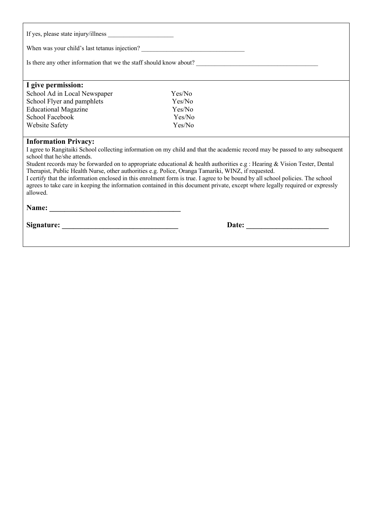| When was your child's last tetanus injection? __________________________________                                                                                                                                                                                                                                                                                                   |        |  |  |  |  |
|------------------------------------------------------------------------------------------------------------------------------------------------------------------------------------------------------------------------------------------------------------------------------------------------------------------------------------------------------------------------------------|--------|--|--|--|--|
| Is there any other information that we the staff should know about?<br><u>Letting and</u> the staff should know about?<br><u>Letting and the staff should know about?</u>                                                                                                                                                                                                          |        |  |  |  |  |
| I give permission:                                                                                                                                                                                                                                                                                                                                                                 |        |  |  |  |  |
| School Ad in Local Newspaper                                                                                                                                                                                                                                                                                                                                                       | Yes/No |  |  |  |  |
| School Flyer and pamphlets                                                                                                                                                                                                                                                                                                                                                         | Yes/No |  |  |  |  |
| <b>Educational Magazine</b>                                                                                                                                                                                                                                                                                                                                                        | Yes/No |  |  |  |  |
| School Facebook                                                                                                                                                                                                                                                                                                                                                                    | Yes/No |  |  |  |  |
| <b>Website Safety</b>                                                                                                                                                                                                                                                                                                                                                              | Yes/No |  |  |  |  |
|                                                                                                                                                                                                                                                                                                                                                                                    |        |  |  |  |  |
| <b>Information Privacy:</b><br>I agree to Rangitaiki School collecting information on my child and that the academic record may be passed to any subsequent<br>school that he/she attends.<br>Student records may be forwarded on to appropriate educational & health authorities e.g : Hearing & Vision Tester, Dental                                                            |        |  |  |  |  |
| Therapist, Public Health Nurse, other authorities e.g. Police, Oranga Tamariki, WINZ, if requested.<br>I certify that the information enclosed in this enrolment form is true. I agree to be bound by all school policies. The school<br>agrees to take care in keeping the information contained in this document private, except where legally required or expressly<br>allowed. |        |  |  |  |  |
|                                                                                                                                                                                                                                                                                                                                                                                    |        |  |  |  |  |
|                                                                                                                                                                                                                                                                                                                                                                                    |        |  |  |  |  |
|                                                                                                                                                                                                                                                                                                                                                                                    |        |  |  |  |  |